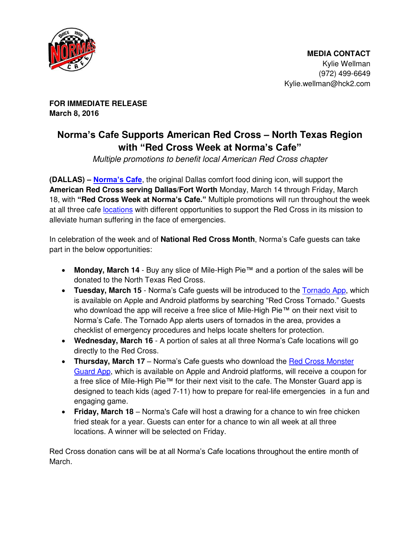

**FOR IMMEDIATE RELEASE March 8, 2016** 

## **Norma's Cafe Supports American Red Cross – North Texas Region with "Red Cross Week at Norma's Cafe"**

*Multiple promotions to benefit local American Red Cross chapter* 

**(DALLAS) – [Norma's Cafe](http://normascafe.com/)**, the original Dallas comfort food dining icon, will support the **American Red Cross serving Dallas/Fort Worth** Monday, March 14 through Friday, March 18, with **"Red Cross Week at Norma's Cafe."** Multiple promotions will run throughout the week at all three cafe [locations](http://normascafe.com/locations/) with different opportunities to support the Red Cross in its mission to alleviate human suffering in the face of emergencies.

In celebration of the week and of **National Red Cross Month**, Norma's Cafe guests can take part in the below opportunities:

- **Monday, March 14** Buy any slice of Mile-High Pie™ and a portion of the sales will be donated to the North Texas Red Cross.
- Tuesday, March 15 Norma's Cafe guests will be introduced to the [Tornado App,](http://www.redcross.org/news/press-release/New-Tornado-App-Brings-Safety-Information-to-Mobile-Devices) which is available on Apple and Android platforms by searching "Red Cross Tornado." Guests who download the app will receive a free slice of Mile-High Pie™ on their next visit to Norma's Cafe. The Tornado App alerts users of tornados in the area, provides a checklist of emergency procedures and helps locate shelters for protection.
- **Wednesday, March 16**  A portion of sales at all three Norma's Cafe locations will go directly to the Red Cross.
- **Thursday, March 17**  Norma's Cafe guests who download the [Red Cross Monster](http://www.redcross.org/monsterguard)  [Guard App,](http://www.redcross.org/monsterguard) which is available on Apple and Android platforms, will receive a coupon for a free slice of Mile-High Pie™ for their next visit to the cafe. The Monster Guard app is designed to teach kids (aged 7-11) how to prepare for real-life emergencies in a fun and engaging game.
- **Friday, March 18**  Norma's Cafe will host a drawing for a chance to win free chicken fried steak for a year. Guests can enter for a chance to win all week at all three locations. A winner will be selected on Friday.

Red Cross donation cans will be at all Norma's Cafe locations throughout the entire month of March.